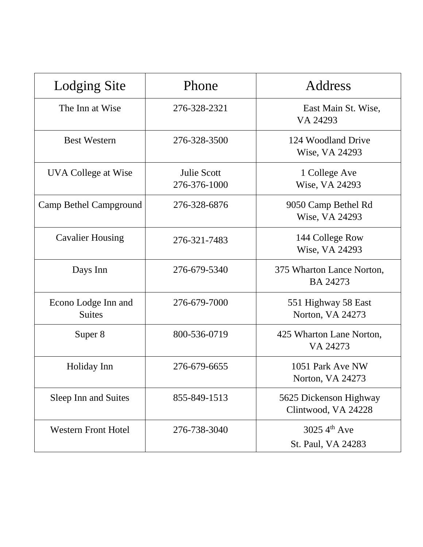| <b>Lodging Site</b>                  | Phone                              | Address                                       |
|--------------------------------------|------------------------------------|-----------------------------------------------|
| The Inn at Wise                      | 276-328-2321                       | East Main St. Wise,<br>VA 24293               |
| <b>Best Western</b>                  | 276-328-3500                       | 124 Woodland Drive<br>Wise, VA 24293          |
| UVA College at Wise                  | <b>Julie Scott</b><br>276-376-1000 | 1 College Ave<br>Wise, VA 24293               |
| Camp Bethel Campground               | 276-328-6876                       | 9050 Camp Bethel Rd<br>Wise, VA 24293         |
| <b>Cavalier Housing</b>              | 276-321-7483                       | 144 College Row<br>Wise, VA 24293             |
| Days Inn                             | 276-679-5340                       | 375 Wharton Lance Norton,<br><b>BA 24273</b>  |
| Econo Lodge Inn and<br><b>Suites</b> | 276-679-7000                       | 551 Highway 58 East<br>Norton, VA 24273       |
| Super 8                              | 800-536-0719                       | 425 Wharton Lane Norton,<br>VA 24273          |
| Holiday Inn                          | 276-679-6655                       | 1051 Park Ave NW<br>Norton, VA 24273          |
| Sleep Inn and Suites                 | 855-849-1513                       | 5625 Dickenson Highway<br>Clintwood, VA 24228 |
| <b>Western Front Hotel</b>           | 276-738-3040                       | 3025 4th Ave<br>St. Paul, VA 24283            |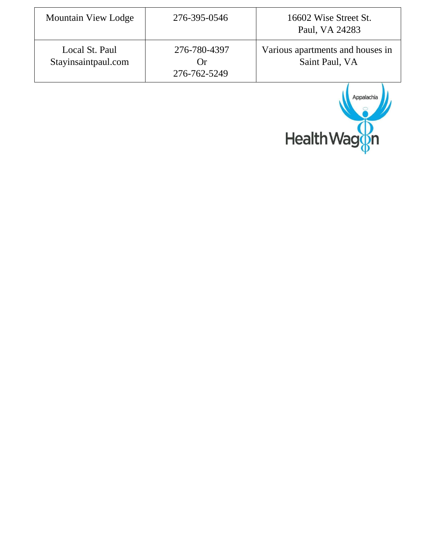| <b>Mountain View Lodge</b>            | 276-395-0546                                      | 16602 Wise Street St.<br>Paul, VA 24283            |
|---------------------------------------|---------------------------------------------------|----------------------------------------------------|
| Local St. Paul<br>Stayinsaintpaul.com | 276-780-4397<br>$\mathfrak{c}$ )r<br>276-762-5249 | Various apartments and houses in<br>Saint Paul, VA |